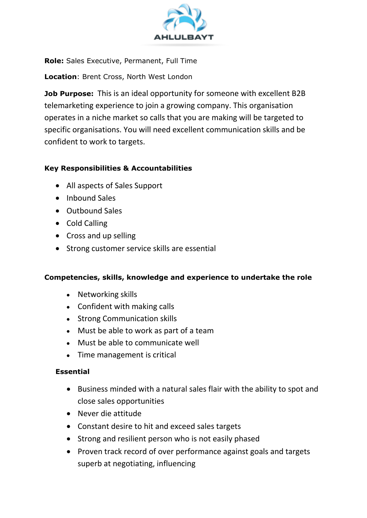

**Role:** Sales Executive, Permanent, Full Time

**Location**: Brent Cross, North West London

**Job Purpose:** This is an ideal opportunity for someone with excellent B2B telemarketing experience to join a growing company. This organisation operates in a niche market so calls that you are making will be targeted to specific organisations. You will need excellent communication skills and be confident to work to targets.

## **Key Responsibilities & Accountabilities**

- All aspects of Sales Support
- Inbound Sales
- Outbound Sales
- Cold Calling
- Cross and up selling
- Strong customer service skills are essential

#### **Competencies, skills, knowledge and experience to undertake the role**

- Networking skills
- Confident with making calls
- Strong Communication skills
- Must be able to work as part of a team
- Must be able to communicate well
- Time management is critical

# **Essential**

- Business minded with a natural sales flair with the ability to spot and close sales opportunities
- Never die attitude
- Constant desire to hit and exceed sales targets
- Strong and resilient person who is not easily phased
- Proven track record of over performance against goals and targets superb at negotiating, influencing